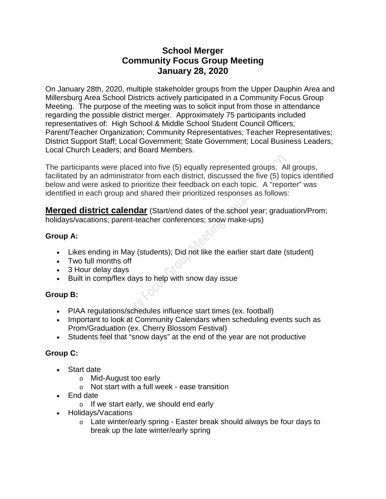# **School Merger Community Focus Group Meeting January 28, 2020**

On January 28th, 2020, multiple stakeholder groups from the Upper Dauphin Area and Millersburg Area School Districts actively participated in a Community Focus Group Meeting. The purpose of the meeting was to solicit input from those in attendance regarding the possible district merger. Approximately 75 participants included representatives of: High School & Middle School Student Council Officers; Parent/Teacher Organization; Community Representatives; Teacher Representatives; District Support Staff; Local Government; State Government; Local Business Leaders; Local Church Leaders; and Board Members.

The participants were placed into five (5) equally represented groups. All groups, facilitated by an administrator from each district, discussed the five (5) topics identified below and were asked to prioritize their feedback on each topic. A "reporter" was identified in each group and shared their prioritized responses as follows:

**Merged district calendar** (Start/end dates of the school year; graduation/Prom; holidays/vacations; parent-teacher conferences; snow make-ups)

## **Group A:**

- Likes ending in May (students); Did not like the earlier start date (student)
- Two full months off
- 3 Hour delay days
- Built in comp/flex days to help with snow day issue

# **Group B:**

- PIAA regulations/schedules influence start times (ex. football)
- Important to look at Community Calendars when scheduling events such as Prom/Graduation (ex. Cherry Blossom Festival)
- Students feel that "snow days" at the end of the year are not productive

# **Group C:**

- Start date
	- o Mid-August too early
	- o Not start with a full week ease transition
- End date
	- o If we start early, we should end early
- Holidays/Vacations
	- $\circ$  Late winter/early spring Easter break should always be four days to break up the late winter/early spring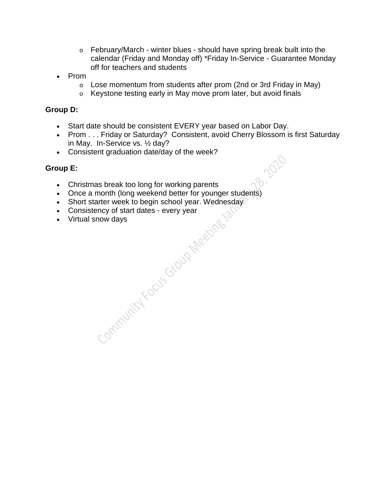- o February/March winter blues should have spring break built into the calendar (Friday and Monday off) \*Friday In-Service - Guarantee Monday off for teachers and students
- Prom
	- o Lose momentum from students after prom (2nd or 3rd Friday in May)
	- o Keystone testing early in May move prom later, but avoid finals

#### **Group D:**

- Start date should be consistent EVERY year based on Labor Day.
- Prom . . . Friday or Saturday? Consistent, avoid Cherry Blossom is first Saturday in May. In-Service vs. ½ day?
- Consistent graduation date/day of the week?

- Christmas break too long for working parents
- Once a month (long weekend better for younger students)<br>• Short starter week to begin school year. Wednesday<br>• Consistency of start dates every year<br>• Virtual snow days<br>• Virtual snow days
- Short starter week to begin school year. Wednesday
- Consistency of start dates every year
- Virtual snow days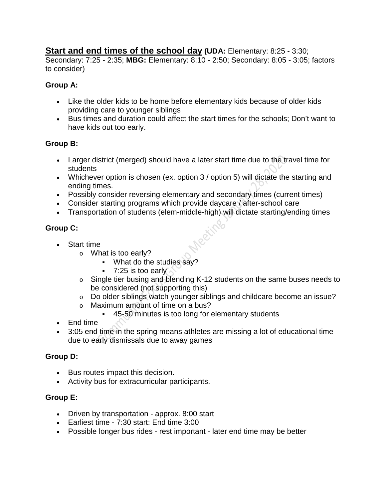# **Start and end times of the school day (UDA:** Elementary: 8:25 - 3:30;

Secondary: 7:25 - 2:35; **MBG:** Elementary: 8:10 - 2:50; Secondary: 8:05 - 3:05; factors to consider)

## **Group A:**

- Like the older kids to be home before elementary kids because of older kids providing care to younger siblings
- Bus times and duration could affect the start times for the schools; Don't want to have kids out too early.

## **Group B:**

- Larger district (merged) should have a later start time due to the travel time for students
- Whichever option is chosen (ex. option 3 / option 5) will dictate the starting and ending times.
- Possibly consider reversing elementary and secondary times (current times)
- Consider starting programs which provide daycare / after-school care
- Transportation of students (elem-middle-high) will dictate starting/ending times

# **Group C:**

- Start time
	- o What is too early?
		- What do the studies say?
		- $-7:25$  is too early
	- o Single tier busing and blending K-12 students on the same buses needs to be considered (not supporting this)
	- o Do older siblings watch younger siblings and childcare become an issue?
	- o Maximum amount of time on a bus?
		- 45-50 minutes is too long for elementary students
- End time
- 3:05 end time in the spring means athletes are missing a lot of educational time due to early dismissals due to away games

# **Group D:**

- Bus routes impact this decision.
- Activity bus for extracurricular participants.

- Driven by transportation approx. 8:00 start
- Earliest time 7:30 start: End time 3:00
- Possible longer bus rides rest important later end time may be better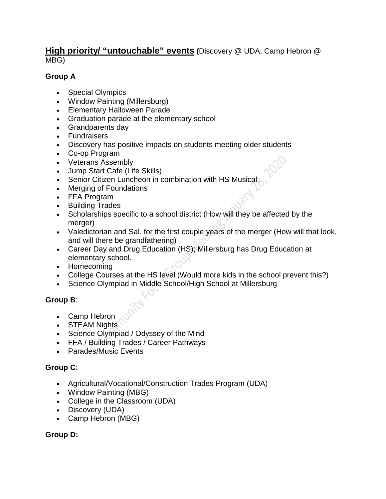## **High priority/ "untouchable" events (**Discovery @ UDA; Camp Hebron @ MBG)

## **Group A**

- Special Olympics
- Window Painting (Millersburg)
- Elementary Halloween Parade
- Graduation parade at the elementary school
- Grandparents day
- Fundraisers
- Discovery has positive impacts on students meeting older students
- Co-op Program
- Veterans Assembly
- Jump Start Cafe (Life Skills)
- Senior Citizen Luncheon in combination with HS Musical
- Merging of Foundations
- FFA Program
- Building Trades
- Scholarships specific to a school district (How will they be affected by the merger)
- Valedictorian and Sal. for the first couple years of the merger (How will that look, and will there be grandfathering)
- Career Day and Drug Education (HS); Millersburg has Drug Education at elementary school.
- Homecoming
- College Courses at the HS level (Would more kids in the school prevent this?)
- Science Olympiad in Middle School/High School at Millersburg

# **Group B**:

- Camp Hebron
- STEAM Nights
- Science Olympiad / Odyssey of the Mind
- FFA / Building Trades / Career Pathways
- Parades/Music Events

# **Group C**:

- Agricultural/Vocational/Construction Trades Program (UDA)
- Window Painting (MBG)
- College in the Classroom (UDA)
- Discovery (UDA)
- Camp Hebron (MBG)

#### **Group D:**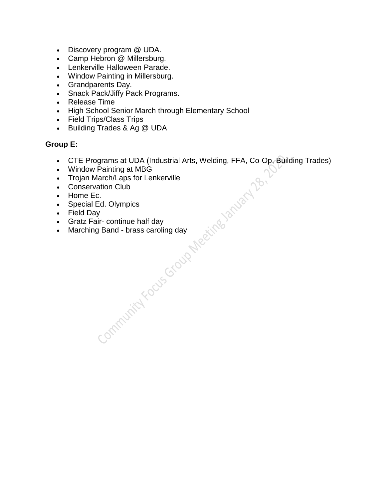- Discovery program @ UDA.
- Camp Hebron @ Millersburg.
- Lenkerville Halloween Parade.
- Window Painting in Millersburg.
- Grandparents Day.
- Snack Pack/Jiffy Pack Programs.
- Release Time
- High School Senior March through Elementary School
- Field Trips/Class Trips
- Building Trades & Ag @ UDA

- CTE Programs at UDA (Industrial Arts, Welding, FFA, Co-Op, Building Trades)<br>• Vindow Painting at MBG<br>• Conservation Club<br>• Conservation Club<br>• Home Ec.<br>• Special Ed. Olympics<br>• Field Day<br>• Gratz Fair-continue half day<br>•
- Window Painting at MBG
- Trojan March/Laps for Lenkerville
- Conservation Club
- Home Ec.
- Special Ed. Olympics
- Field Day
- Gratz Fair- continue half day
- Marching Band brass caroling day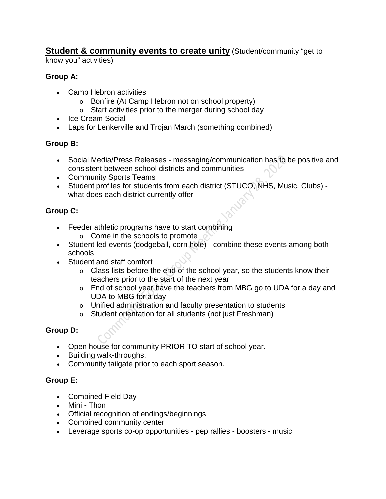**Student & community events to create unity (Student/community "get to** 

know you" activities)

# **Group A:**

- Camp Hebron activities
	- o Bonfire (At Camp Hebron not on school property)
	- o Start activities prior to the merger during school day
- Ice Cream Social
- Laps for Lenkerville and Trojan March (something combined)

# **Group B:**

- Social Media/Press Releases messaging/communication has to be positive and consistent between school districts and communities
- Community Sports Teams
- Student profiles for students from each district (STUCO, NHS, Music, Clubs) what does each district currently offer

# **Group C:**

- Feeder athletic programs have to start combining
	- o Come in the schools to promote
- Student-led events (dodgeball, corn hole) combine these events among both schools
- Student and staff comfort
	- $\circ$  Class lists before the end of the school year, so the students know their teachers prior to the start of the next year
	- o End of school year have the teachers from MBG go to UDA for a day and UDA to MBG for a day
	- o Unified administration and faculty presentation to students
	- o Student orientation for all students (not just Freshman)

# **Group D:**

- Open house for community PRIOR TO start of school year.
- Building walk-throughs.
- Community tailgate prior to each sport season.

- Combined Field Day
- Mini Thon
- Official recognition of endings/beginnings
- Combined community center
- Leverage sports co-op opportunities pep rallies boosters music